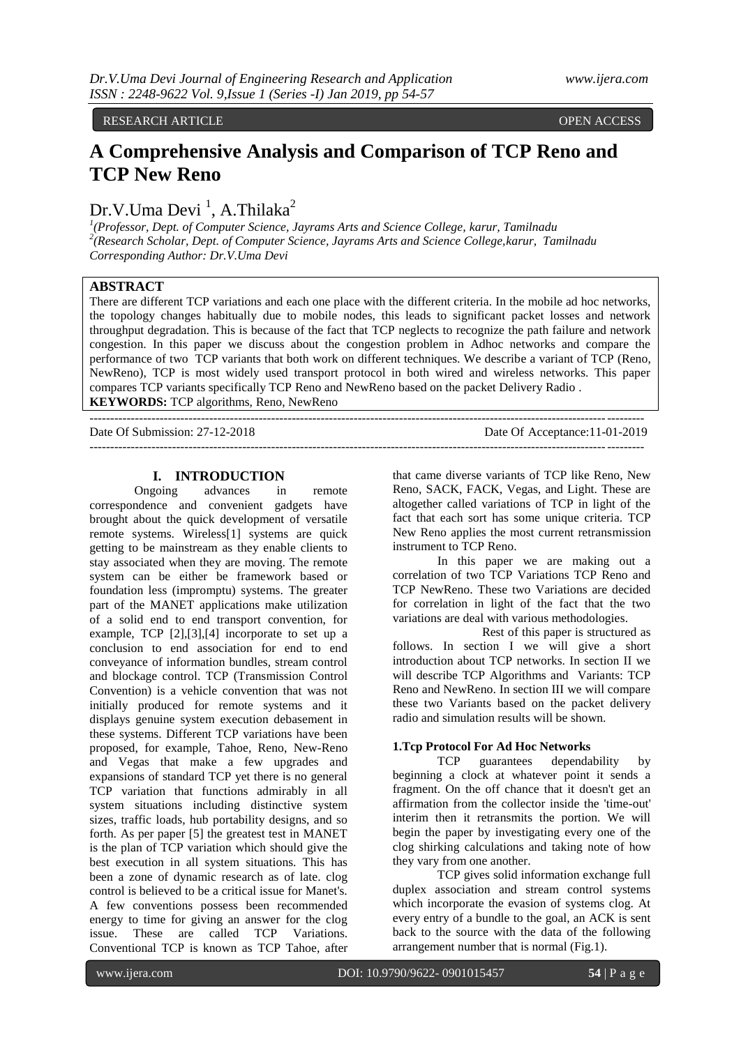RESEARCH ARTICLE **CONTRACT ARTICLE** AND A SECRET ASSESSED OPEN ACCESS OPEN ACCESS

# **A Comprehensive Analysis and Comparison of TCP Reno and TCP New Reno**

## Dr.V.Uma Devi<sup>1</sup>, A.Thilaka<sup>2</sup>

*1 (Professor, Dept. of Computer Science, Jayrams Arts and Science College, karur, Tamilnadu 2 (Research Scholar, Dept. of Computer Science, Jayrams Arts and Science College,karur, Tamilnadu Corresponding Author: Dr.V.Uma Devi*

## **ABSTRACT**

There are different TCP variations and each one place with the different criteria. In the mobile ad hoc networks, the topology changes habitually due to mobile nodes, this leads to significant packet losses and network throughput degradation. This is because of the fact that TCP neglects to recognize the path failure and network congestion. In this paper we discuss about the congestion problem in Adhoc networks and compare the performance of two TCP variants that both work on different techniques. We describe a variant of TCP (Reno, NewReno), TCP is most widely used transport protocol in both wired and wireless networks. This paper compares TCP variants specifically TCP Reno and NewReno based on the packet Delivery Radio . **KEYWORDS:** TCP algorithms, Reno, NewReno

--------------------------------------------------------------------------------------------------------------------------------------

Date Of Submission: 27-12-2018 Date Of Acceptance:11-01-2019

## **I. INTRODUCTION**

--------------------------------------------------------------------------------------------------------------------------------------

Ongoing advances in remote correspondence and convenient gadgets have brought about the quick development of versatile remote systems. Wireless[1] systems are quick getting to be mainstream as they enable clients to stay associated when they are moving. The remote system can be either be framework based or foundation less (impromptu) systems. The greater part of the MANET applications make utilization of a solid end to end transport convention, for example, TCP [2],[3],[4] incorporate to set up a conclusion to end association for end to end conveyance of information bundles, stream control and blockage control. TCP (Transmission Control Convention) is a vehicle convention that was not initially produced for remote systems and it displays genuine system execution debasement in these systems. Different TCP variations have been proposed, for example, Tahoe, Reno, New-Reno and Vegas that make a few upgrades and expansions of standard TCP yet there is no general TCP variation that functions admirably in all system situations including distinctive system sizes, traffic loads, hub portability designs, and so forth. As per paper [5] the greatest test in MANET is the plan of TCP variation which should give the best execution in all system situations. This has been a zone of dynamic research as of late. clog control is believed to be a critical issue for Manet's. A few conventions possess been recommended energy to time for giving an answer for the clog issue. These are called TCP Variations. Conventional TCP is known as TCP Tahoe, after

that came diverse variants of TCP like Reno, New Reno, SACK, FACK, Vegas, and Light. These are altogether called variations of TCP in light of the fact that each sort has some unique criteria. TCP New Reno applies the most current retransmission instrument to TCP Reno.

In this paper we are making out a correlation of two TCP Variations TCP Reno and TCP NewReno. These two Variations are decided for correlation in light of the fact that the two variations are deal with various methodologies.

Rest of this paper is structured as follows. In section I we will give a short introduction about TCP networks. In section II we will describe TCP Algorithms and Variants: TCP Reno and NewReno. In section III we will compare these two Variants based on the packet delivery radio and simulation results will be shown.

#### **1.Tcp Protocol For Ad Hoc Networks**

TCP guarantees dependability by beginning a clock at whatever point it sends a fragment. On the off chance that it doesn't get an affirmation from the collector inside the 'time-out' interim then it retransmits the portion. We will begin the paper by investigating every one of the clog shirking calculations and taking note of how they vary from one another.

TCP gives solid information exchange full duplex association and stream control systems which incorporate the evasion of systems clog. At every entry of a bundle to the goal, an ACK is sent back to the source with the data of the following arrangement number that is normal (Fig.1).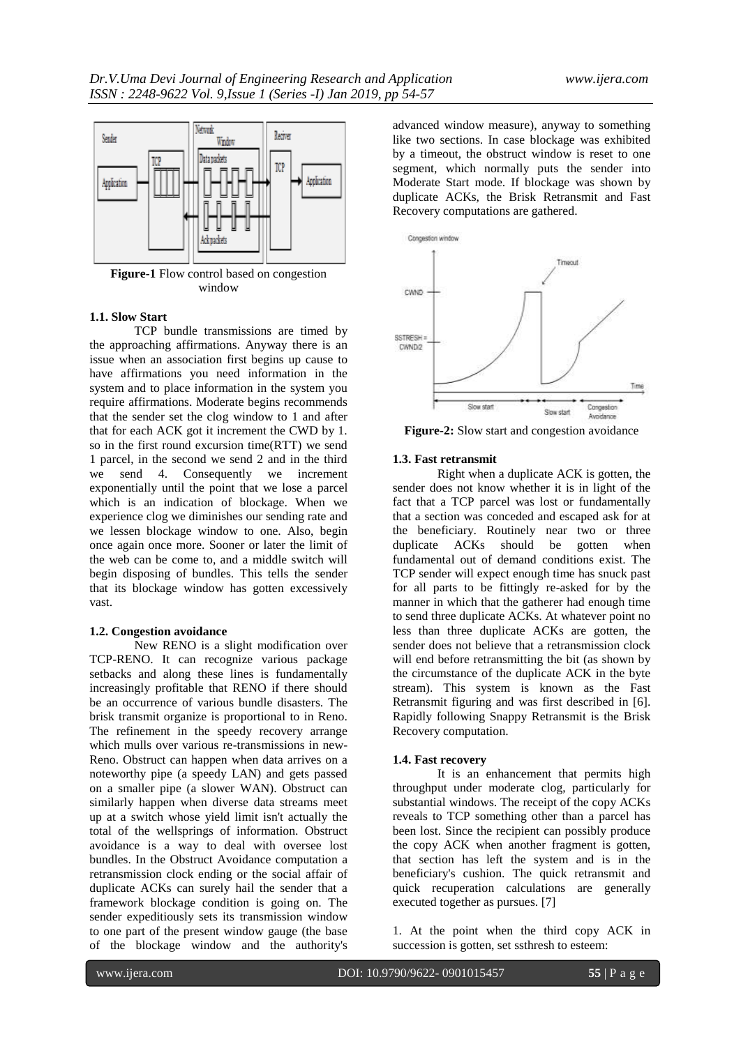

**Figure-1** Flow control based on congestion window

#### **1.1. Slow Start**

TCP bundle transmissions are timed by the approaching affirmations. Anyway there is an issue when an association first begins up cause to have affirmations you need information in the system and to place information in the system you require affirmations. Moderate begins recommends that the sender set the clog window to 1 and after that for each ACK got it increment the CWD by 1. so in the first round excursion time(RTT) we send 1 parcel, in the second we send 2 and in the third we send 4. Consequently we increment exponentially until the point that we lose a parcel which is an indication of blockage. When we experience clog we diminishes our sending rate and we lessen blockage window to one. Also, begin once again once more. Sooner or later the limit of the web can be come to, and a middle switch will begin disposing of bundles. This tells the sender that its blockage window has gotten excessively vast.

#### **1.2. Congestion avoidance**

New RENO is a slight modification over TCP-RENO. It can recognize various package setbacks and along these lines is fundamentally increasingly profitable that RENO if there should be an occurrence of various bundle disasters. The brisk transmit organize is proportional to in Reno. The refinement in the speedy recovery arrange which mulls over various re-transmissions in new-Reno. Obstruct can happen when data arrives on a noteworthy pipe (a speedy LAN) and gets passed on a smaller pipe (a slower WAN). Obstruct can similarly happen when diverse data streams meet up at a switch whose yield limit isn't actually the total of the wellsprings of information. Obstruct avoidance is a way to deal with oversee lost bundles. In the Obstruct Avoidance computation a retransmission clock ending or the social affair of duplicate ACKs can surely hail the sender that a framework blockage condition is going on. The sender expeditiously sets its transmission window to one part of the present window gauge (the base of the blockage window and the authority's

advanced window measure), anyway to something like two sections. In case blockage was exhibited by a timeout, the obstruct window is reset to one segment, which normally puts the sender into Moderate Start mode. If blockage was shown by duplicate ACKs, the Brisk Retransmit and Fast Recovery computations are gathered.



**Figure-2:** Slow start and congestion avoidance

#### **1.3. Fast retransmit**

Right when a duplicate ACK is gotten, the sender does not know whether it is in light of the fact that a TCP parcel was lost or fundamentally that a section was conceded and escaped ask for at the beneficiary. Routinely near two or three duplicate ACKs should be gotten when fundamental out of demand conditions exist. The TCP sender will expect enough time has snuck past for all parts to be fittingly re-asked for by the manner in which that the gatherer had enough time to send three duplicate ACKs. At whatever point no less than three duplicate ACKs are gotten, the sender does not believe that a retransmission clock will end before retransmitting the bit (as shown by the circumstance of the duplicate ACK in the byte stream). This system is known as the Fast Retransmit figuring and was first described in [6]. Rapidly following Snappy Retransmit is the Brisk Recovery computation.

#### **1.4. Fast recovery**

It is an enhancement that permits high throughput under moderate clog, particularly for substantial windows. The receipt of the copy ACKs reveals to TCP something other than a parcel has been lost. Since the recipient can possibly produce the copy ACK when another fragment is gotten, that section has left the system and is in the beneficiary's cushion. The quick retransmit and quick recuperation calculations are generally executed together as pursues. [7]

1. At the point when the third copy ACK in succession is gotten, set ssthresh to esteem: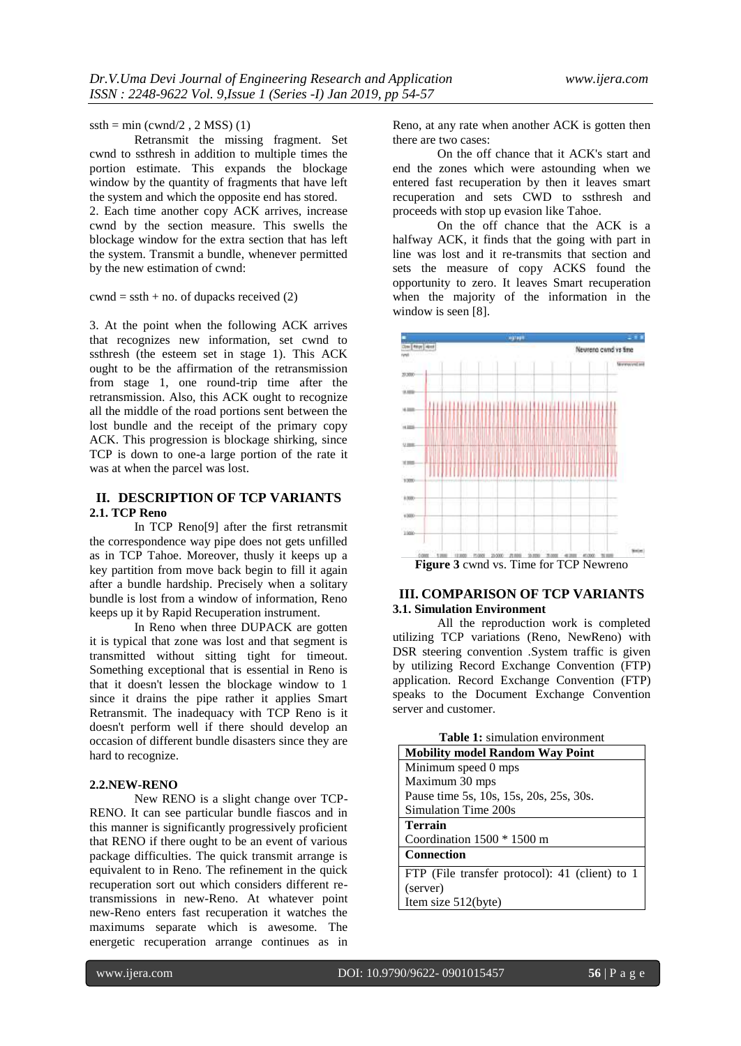#### $ssth = min (cwnd/2, 2 MSS)$  (1)

Retransmit the missing fragment. Set cwnd to ssthresh in addition to multiple times the portion estimate. This expands the blockage window by the quantity of fragments that have left the system and which the opposite end has stored.

2. Each time another copy ACK arrives, increase cwnd by the section measure. This swells the blockage window for the extra section that has left the system. Transmit a bundle, whenever permitted by the new estimation of cwnd:

## $\text{cwnd} = \text{ssth} + \text{no. of}\ \text{dupacks received}\ (2)$

3. At the point when the following ACK arrives that recognizes new information, set cwnd to ssthresh (the esteem set in stage 1). This ACK ought to be the affirmation of the retransmission from stage 1, one round-trip time after the retransmission. Also, this ACK ought to recognize all the middle of the road portions sent between the lost bundle and the receipt of the primary copy ACK. This progression is blockage shirking, since TCP is down to one-a large portion of the rate it was at when the parcel was lost.

## **II. DESCRIPTION OF TCP VARIANTS 2.1. TCP Reno**

In TCP Reno[9] after the first retransmit the correspondence way pipe does not gets unfilled as in TCP Tahoe. Moreover, thusly it keeps up a key partition from move back begin to fill it again after a bundle hardship. Precisely when a solitary bundle is lost from a window of information, Reno keeps up it by Rapid Recuperation instrument.

In Reno when three DUPACK are gotten it is typical that zone was lost and that segment is transmitted without sitting tight for timeout. Something exceptional that is essential in Reno is that it doesn't lessen the blockage window to 1 since it drains the pipe rather it applies Smart Retransmit. The inadequacy with TCP Reno is it doesn't perform well if there should develop an occasion of different bundle disasters since they are hard to recognize.

## **2.2.NEW-RENO**

New RENO is a slight change over TCP-RENO. It can see particular bundle fiascos and in this manner is significantly progressively proficient that RENO if there ought to be an event of various package difficulties. The quick transmit arrange is equivalent to in Reno. The refinement in the quick recuperation sort out which considers different retransmissions in new-Reno. At whatever point new-Reno enters fast recuperation it watches the maximums separate which is awesome. The energetic recuperation arrange continues as in

Reno, at any rate when another ACK is gotten then there are two cases:

On the off chance that it ACK's start and end the zones which were astounding when we entered fast recuperation by then it leaves smart recuperation and sets CWD to ssthresh and proceeds with stop up evasion like Tahoe.

On the off chance that the ACK is a halfway ACK, it finds that the going with part in line was lost and it re-transmits that section and sets the measure of copy ACKS found the opportunity to zero. It leaves Smart recuperation when the majority of the information in the window is seen [8].



## **III. COMPARISON OF TCP VARIANTS 3.1. Simulation Environment**

All the reproduction work is completed utilizing TCP variations (Reno, NewReno) with DSR steering convention .System traffic is given by utilizing Record Exchange Convention (FTP) application. Record Exchange Convention (FTP) speaks to the Document Exchange Convention server and customer.

| <b>Table 1:</b> simulation environment         |
|------------------------------------------------|
| <b>Mobility model Random Way Point</b>         |
| Minimum speed 0 mps                            |
| Maximum 30 mps                                 |
| Pause time 5s, 10s, 15s, 20s, 25s, 30s.        |
| Simulation Time 200s                           |
| <b>Terrain</b>                                 |
| Coordination $1500 * 1500$ m                   |
| <b>Connection</b>                              |
| FTP (File transfer protocol): 41 (client) to 1 |
| (server)                                       |
| Item size 512(byte)                            |